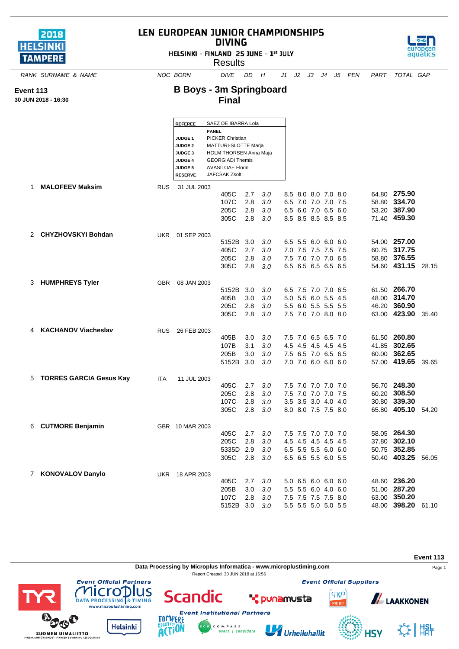| 2018            |  |
|-----------------|--|
| <b>HELSINKI</b> |  |
| <b>TAMPERE</b>  |  |

**Event 113 30 JUN 2018 - 16:30**

## LEN EUROPEAN JUNIOR CHAMPIONSHIPS **DIVING**

HELSINKI - FINLAND 25 JUNE - 1st JULY





**SUOMEN UIMALIITTO** 

## *RANK SURNAME & NAME NOC BORN DIVE DD H J1 J2 J3 J4 J5 PEN PART TOTAL GAP* **B Boys - 3m Springboard**

**Final**

|    |                            |            | <b>REFEREE</b>                                                                             |                                                                                                                                                        | SAEZ DE IBARRA Lola           |                          |                          |     |                                                                                          |  |       |                                                                    |       |
|----|----------------------------|------------|--------------------------------------------------------------------------------------------|--------------------------------------------------------------------------------------------------------------------------------------------------------|-------------------------------|--------------------------|--------------------------|-----|------------------------------------------------------------------------------------------|--|-------|--------------------------------------------------------------------|-------|
|    |                            |            | <b>JUDGE 1</b><br><b>JUDGE 2</b><br>JUDGE <sub>3</sub><br><b>JUDGE 4</b><br><b>JUDGE 5</b> | <b>PANEL</b><br><b>PICKER Christian</b><br>MATTURI-SLOTTE Marja<br><b>HOLM THORSEN Anna Maja</b><br><b>GEORGIADI Themis</b><br><b>AVASILOAE Florin</b> |                               |                          |                          |     |                                                                                          |  |       |                                                                    |       |
|    |                            |            | <b>RESERVE</b>                                                                             |                                                                                                                                                        | JAFCSAK Zsolt                 |                          |                          |     |                                                                                          |  |       |                                                                    |       |
| 1  | <b>MALOFEEV Maksim</b>     | <b>RUS</b> | 31 JUL 2003                                                                                |                                                                                                                                                        | 405C<br>107C<br>205C<br>305C  | 2.7<br>2.8<br>2.8<br>2.8 | 3.0<br>3.0<br>3.0<br>3.0 | 6.5 | 8.5 8.0 8.0 7.0 8.0<br>7.0 7.0 7.0 7.5<br>6.5 6.0 7.0 6.5 6.0<br>8.5 8.5 8.5 8.5 8.5     |  |       | 64.80 275.90<br>58.80 334.70<br>53.20 387.90<br>71.40 459.30       |       |
|    | 2 CHYZHOVSKYI Bohdan       |            | UKR 01 SEP 2003                                                                            |                                                                                                                                                        | 5152B<br>405C<br>205C<br>305C | 3.0<br>2.7<br>2.8<br>2.8 | 3.0<br>3.0<br>3.0<br>3.0 |     | 6.5 5.5 6.0 6.0 6.0<br>7.0 7.5 7.5 7.5 7.5<br>7.5 7.0 7.0 7.0 6.5<br>6.5 6.5 6.5 6.5 6.5 |  |       | 54.00 257.00<br>60.75 317.75<br>58.80 376.55<br>54.60 431.15       | 28.15 |
|    | 3 HUMPHREYS Tyler          | <b>GBR</b> | 08 JAN 2003                                                                                |                                                                                                                                                        | 5152B<br>405B<br>205C<br>305C | 3.0<br>3.0<br>2.8<br>2.8 | 3.0<br>3.0<br>3.0<br>3.0 | 5.5 | 6.5 7.5 7.0 7.0 6.5<br>5.0 5.5 6.0 5.5 4.5<br>6.0 5.5 5.5 5.5<br>7.5 7.0 7.0 8.0 8.0     |  |       | 61.50 266.70<br>48.00 314.70<br>46.20 360.90<br>63.00 423.90       | 35.40 |
| 4  | <b>KACHANOV Viacheslav</b> | <b>RUS</b> | 26 FEB 2003                                                                                |                                                                                                                                                        | 405B<br>107B<br>205B<br>5152B | 3.0<br>3.1<br>3.0<br>3.0 | 3.0<br>3.0<br>3.0<br>3.0 |     | 7.5 7.0 6.5 6.5 7.0<br>4.5 4.5 4.5 4.5 4.5<br>7.5 6.5 7.0 6.5 6.5<br>7.0 7.0 6.0 6.0 6.0 |  |       | 61.50 260.80<br>41.85 302.65<br>60.00 362.65<br>57.00 419.65       | 39.65 |
|    | 5 TORRES GARCIA Gesus Kay  | <b>ITA</b> | 11 JUL 2003                                                                                |                                                                                                                                                        | 405C<br>205C<br>107C<br>305C  | 2.7<br>2.8<br>2.8<br>2.8 | 3.0<br>3.0<br>3.0<br>3.0 |     | 7.5 7.0 7.0 7.0 7.0<br>7.5 7.0 7.0 7.0 7.5<br>3.5 3.5 3.0 4.0 4.0<br>8.0 8.0 7.5 7.5 8.0 |  |       | 56.70 248.30<br>60.20 308.50<br>30.80 339.30<br>65.80 405.10 54.20 |       |
| 6. | <b>CUTMORE Benjamin</b>    |            | GBR 10 MAR 2003                                                                            |                                                                                                                                                        | 405C<br>205C<br>5335D<br>305C | 2.7<br>2.8<br>2.9<br>2.8 | 3.0<br>3.0<br>3.0<br>3.0 |     | 7.5 7.5 7.0 7.0 7.0<br>4.5 4.5 4.5 4.5 4.5<br>6.5 5.5 5.5 6.0 6.0<br>6.5 6.5 5.5 6.0 5.5 |  |       | 58.05 264.30<br>37.80 302.10<br>50.75 352.85<br>50.40 403.25       | 56.05 |
| 7  | <b>KONOVALOV Danylo</b>    | <b>UKR</b> | 18 APR 2003                                                                                |                                                                                                                                                        | 405C<br>205B<br>107C<br>5152B | 2.7<br>3.0<br>2.8<br>3.0 | 3.0<br>3.0<br>3.0<br>3.0 | 5.5 | 5.0 6.5 6.0 6.0 6.0<br>5.5 6.0 4.0 6.0<br>7.5 7.5 7.5 7.5 8.0<br>5.5 5.5 5.0 5.0 5.5     |  | 63.00 | 48.60 236.20<br>51.00 287.20<br>350.20<br>48.00 398.20             | 61.10 |





**4SY**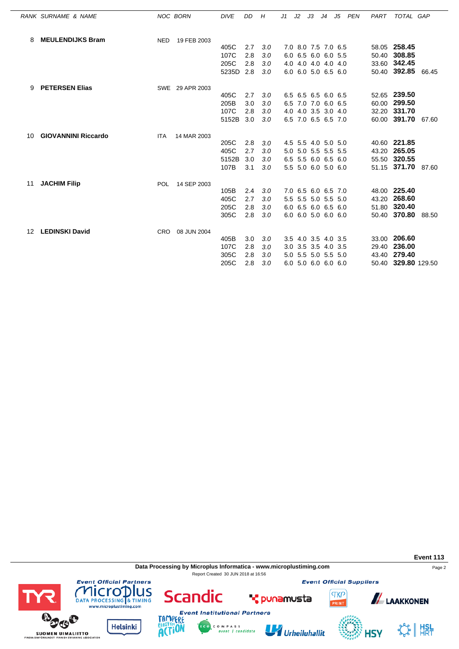|    | RANK SURNAME & NAME        |            | NOC BORN        | <b>DIVE</b> | DD  | H   | J1 | J2 | J3 | J4                  | J5 | PEN | PART | TOTAL GAP           |  |
|----|----------------------------|------------|-----------------|-------------|-----|-----|----|----|----|---------------------|----|-----|------|---------------------|--|
| 8  | <b>MEULENDIJKS Bram</b>    | <b>NED</b> | 19 FEB 2003     |             |     |     |    |    |    |                     |    |     |      |                     |  |
|    |                            |            |                 | 405C        | 2.7 | 3.0 |    |    |    | 7.0 8.0 7.5 7.0 6.5 |    |     |      | 58.05 258.45        |  |
|    |                            |            |                 | 107C        | 2.8 | 3.0 |    |    |    | 6.0 6.5 6.0 6.0 5.5 |    |     |      | 50.40 308.85        |  |
|    |                            |            |                 | 205C        | 2.8 | 3.0 |    |    |    | 4.0 4.0 4.0 4.0 4.0 |    |     |      | 33.60 342.45        |  |
|    |                            |            |                 | 5235D       | 2.8 | 3.0 |    |    |    | 6.0 6.0 5.0 6.5 6.0 |    |     |      | 50.40 392.85 66.45  |  |
| 9  | <b>PETERSEN Elias</b>      |            | SWE 29 APR 2003 |             |     |     |    |    |    |                     |    |     |      |                     |  |
|    |                            |            |                 | 405C        | 2.7 | 3.0 |    |    |    | 6.5 6.5 6.5 6.0 6.5 |    |     |      | 52.65 239.50        |  |
|    |                            |            |                 | 205B        | 3.0 | 3.0 |    |    |    | 6.5 7.0 7.0 6.0 6.5 |    |     |      | 60.00 299.50        |  |
|    |                            |            |                 | 107C        | 2.8 | 3.0 |    |    |    | 4.0 4.0 3.5 3.0 4.0 |    |     |      | 32.20 331.70        |  |
|    |                            |            |                 | 5152B       | 3.0 | 3.0 |    |    |    | 6.5 7.0 6.5 6.5 7.0 |    |     |      | 60.00 391.70 67.60  |  |
| 10 | <b>GIOVANNINI Riccardo</b> | <b>ITA</b> | 14 MAR 2003     |             |     |     |    |    |    |                     |    |     |      |                     |  |
|    |                            |            |                 | 205C        | 2.8 | 3.0 |    |    |    | 4.5 5.5 4.0 5.0 5.0 |    |     |      | 40.60 221.85        |  |
|    |                            |            |                 | 405C        | 2.7 | 3.0 |    |    |    | 5.0 5.0 5.5 5.5 5.5 |    |     |      | 43.20 265.05        |  |
|    |                            |            |                 | 5152B       | 3.0 | 3.0 |    |    |    | 6.5 5.5 6.0 6.5 6.0 |    |     |      | 55.50 320.55        |  |
|    |                            |            |                 | 107B        | 3.1 | 3.0 |    |    |    | 5.5 5.0 6.0 5.0 6.0 |    |     |      | 51.15 371.70 87.60  |  |
| 11 | <b>JACHIM Filip</b>        | <b>POL</b> | 14 SEP 2003     |             |     |     |    |    |    |                     |    |     |      |                     |  |
|    |                            |            |                 | 105B        | 2.4 | 3.0 |    |    |    | 7.0 6.5 6.0 6.5 7.0 |    |     |      | 48.00 225.40        |  |
|    |                            |            |                 | 405C        | 2.7 | 3.0 |    |    |    | 5.5 5.5 5.0 5.5 5.0 |    |     |      | 43.20 268.60        |  |
|    |                            |            |                 | 205C        | 2.8 | 3.0 |    |    |    | 6.0 6.5 6.0 6.5 6.0 |    |     |      | 51.80 320.40        |  |
|    |                            |            |                 | 305C        | 2.8 | 3.0 |    |    |    | 6.0 6.0 5.0 6.0 6.0 |    |     |      | 50.40 370.80 88.50  |  |
| 12 | <b>LEDINSKI David</b>      | <b>CRO</b> | 08 JUN 2004     |             |     |     |    |    |    |                     |    |     |      |                     |  |
|    |                            |            |                 | 405B        | 3.0 | 3.0 |    |    |    | 3.5 4.0 3.5 4.0 3.5 |    |     |      | 33.00 206.60        |  |
|    |                            |            |                 | 107C        | 2.8 | 3.0 |    |    |    | 3.0 3.5 3.5 4.0 3.5 |    |     |      | 29.40 236.00        |  |
|    |                            |            |                 | 305C        | 2.8 | 3.0 |    |    |    | 5.0 5.5 5.0 5.5 5.0 |    |     |      | 43.40 279.40        |  |
|    |                            |            |                 | 205C        | 2.8 | 3.0 |    |    |    | 6.0 5.0 6.0 6.0 6.0 |    |     |      | 50.40 329.80 129.50 |  |

**Data Processing by Microplus Informatica - www.microplustiming.com** Page 2 Report Created 30 JUN 2018 at 16:56

C O M P A S S<br>event | candidate

**Event Official Suppliers** 

**TKP** 

**Event 113**



SUOMEN UIMALIITTO

**Event Official Partners** 



**Scandic** 



**T** punamusta



**ALAAKKONEN**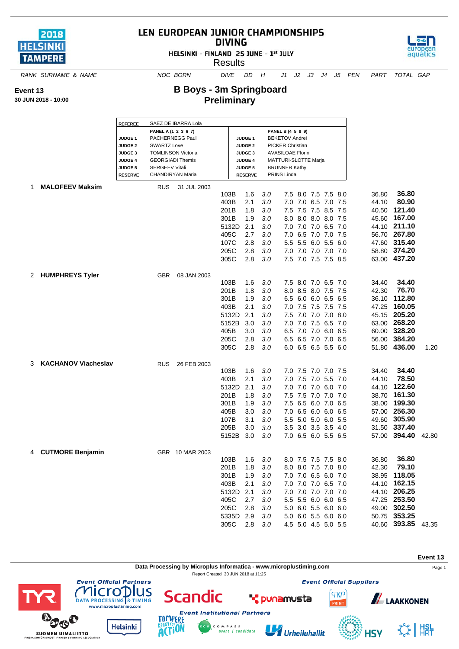

## LEN EUROPEAN JUNIOR CHAMPIONSHIPS **DIVING**

HELSINKI - FINLAND 25 JUNE - 1st JULY

**Results** 



*RANK SURNAME & NAME NOC BORN DIVE DD H J1 J2 J3 J4 J5 PEN PART TOTAL GAP*

**B Boys - 3m Springboard Preliminary**

**30 JUN 2018 - 10:00**

**Event 13**

|    |                        | <b>REFEREE</b>                                                                             | SAEZ DE IBARRA Lola                                                                                                                           |               |                |            |                                                                                                                                                         |                                            |  |       |                              |       |
|----|------------------------|--------------------------------------------------------------------------------------------|-----------------------------------------------------------------------------------------------------------------------------------------------|---------------|----------------|------------|---------------------------------------------------------------------------------------------------------------------------------------------------------|--------------------------------------------|--|-------|------------------------------|-------|
|    |                        | JUDGE <sub>1</sub><br><b>JUDGE 2</b><br><b>JUDGE 3</b><br><b>JUDGE 4</b><br><b>JUDGE 5</b> | PANEL A (1 2 3 6 7)<br>PACHERNEGG Paul<br><b>SWARTZ Love</b><br><b>TOMLINSON Victoria</b><br><b>GEORGIADI Themis</b><br><b>SERGEEV Vitali</b> |               |                |            | PANEL B (4 5 8 9)<br><b>BEKETOV Andrei</b><br><b>PICKER Christian</b><br><b>AVASILOAE Florin</b><br><b>MATTURI-SLOTTE Marja</b><br><b>BRUNNER Kathy</b> |                                            |  |       |                              |       |
|    |                        | <b>RESERVE</b>                                                                             | CHANDIRYAN Maria                                                                                                                              |               | <b>RESERVE</b> |            | PRINS Linda                                                                                                                                             |                                            |  |       |                              |       |
| 1. | <b>MALOFEEV Maksim</b> | <b>RUS</b>                                                                                 | 31 JUL 2003                                                                                                                                   |               |                |            |                                                                                                                                                         |                                            |  |       |                              |       |
|    |                        |                                                                                            |                                                                                                                                               | 103B          | 1.6            | 3.0        |                                                                                                                                                         | 7.5 8.0 7.5 7.5 8.0                        |  | 36.80 | 36.80                        |       |
|    |                        |                                                                                            |                                                                                                                                               | 403B          | 2.1            | 3.0        | 7.0                                                                                                                                                     | 7.0 6.5 7.0 7.5                            |  | 44.10 | 80.90                        |       |
|    |                        |                                                                                            |                                                                                                                                               | 201B          | 1.8            | 3.0        |                                                                                                                                                         | 7.5 7.5 7.5 8.5 7.5                        |  | 40.50 | 121.40                       |       |
|    |                        |                                                                                            |                                                                                                                                               | 301B<br>5132D | 1.9            | 3.0        |                                                                                                                                                         | 8.0 8.0 8.0 8.0 7.5                        |  | 45.60 | 167.00<br>44.10 211.10       |       |
|    |                        |                                                                                            |                                                                                                                                               | 405C          | 2.1<br>2.7     | 3.0<br>3.0 |                                                                                                                                                         | 7.0 7.0 7.0 6.5 7.0<br>7.0 6.5 7.0 7.0 7.5 |  |       | 56.70 267.80                 |       |
|    |                        |                                                                                            |                                                                                                                                               | 107C          | 2.8            | 3.0        |                                                                                                                                                         | 5.5 5.5 6.0 5.5 6.0                        |  |       | 47.60 315.40                 |       |
|    |                        |                                                                                            |                                                                                                                                               | 205C          | 2.8            | 3.0        |                                                                                                                                                         | 7.0 7.0 7.0 7.0 7.0                        |  |       | 58.80 374.20                 |       |
|    |                        |                                                                                            |                                                                                                                                               | 305C          | 2.8            | 3.0        |                                                                                                                                                         | 7.5 7.0 7.5 7.5 8.5                        |  |       | 63.00 437.20                 |       |
|    |                        |                                                                                            |                                                                                                                                               |               |                |            |                                                                                                                                                         |                                            |  |       |                              |       |
|    | 2 HUMPHREYS Tyler      | <b>GBR</b>                                                                                 | 08 JAN 2003                                                                                                                                   |               |                |            |                                                                                                                                                         |                                            |  |       |                              |       |
|    |                        |                                                                                            |                                                                                                                                               | 103B          | 1.6            | 3.0        |                                                                                                                                                         | 7.5 8.0 7.0 6.5 7.0                        |  | 34.40 | 34.40                        |       |
|    |                        |                                                                                            |                                                                                                                                               | 201B          | 1.8            | 3.0        |                                                                                                                                                         | 8.0 8.5 8.0 7.5 7.5                        |  | 42.30 | 76.70                        |       |
|    |                        |                                                                                            |                                                                                                                                               | 301B          | 1.9            | 3.0        |                                                                                                                                                         | 6.5 6.0 6.0 6.5 6.5                        |  | 36.10 | 112.80                       |       |
|    |                        |                                                                                            |                                                                                                                                               | 403B          | 2.1            | 3.0        |                                                                                                                                                         | 7.0 7.5 7.5 7.5 7.5                        |  | 47.25 | 160.05                       |       |
|    |                        |                                                                                            |                                                                                                                                               | 5132D         | 2.1            | 3.0        |                                                                                                                                                         | 7.5 7.0 7.0 7.0 8.0                        |  |       | 45.15 205.20                 |       |
|    |                        |                                                                                            |                                                                                                                                               | 5152B         | 3.0            | 3.0        |                                                                                                                                                         | 7.0 7.0 7.5 6.5 7.0                        |  |       | 63.00 268.20                 |       |
|    |                        |                                                                                            |                                                                                                                                               | 405B          | 3.0            | 3.0        |                                                                                                                                                         | 6.5 7.0 7.0 6.0 6.5                        |  |       | 60.00 328.20                 |       |
|    |                        |                                                                                            |                                                                                                                                               | 205C          | 2.8            | 3.0        |                                                                                                                                                         | 6.5 6.5 7.0 7.0 6.5                        |  |       | 56.00 384.20                 |       |
|    |                        |                                                                                            |                                                                                                                                               | 305C          | 2.8            | 3.0        |                                                                                                                                                         | 6.0 6.5 6.5 5.5 6.0                        |  |       | 51.80 436.00                 | 1.20  |
|    |                        |                                                                                            |                                                                                                                                               |               |                |            |                                                                                                                                                         |                                            |  |       |                              |       |
|    | 3 KACHANOV Viacheslav  | <b>RUS</b>                                                                                 | 26 FEB 2003                                                                                                                                   | 103B          | 1.6            | 3.0        |                                                                                                                                                         | 7.0 7.5 7.0 7.0 7.5                        |  | 34.40 | 34.40                        |       |
|    |                        |                                                                                            |                                                                                                                                               | 403B          | 2.1            | 3.0        |                                                                                                                                                         | 7.0 7.5 7.0 5.5 7.0                        |  | 44.10 | 78.50                        |       |
|    |                        |                                                                                            |                                                                                                                                               | 5132D         | 2.1            | 3.0        | 7.0                                                                                                                                                     | 7.0 7.0 6.0 7.0                            |  | 44.10 | 122.60                       |       |
|    |                        |                                                                                            |                                                                                                                                               | 201B          | 1.8            | 3.0        |                                                                                                                                                         | 7.5 7.5 7.0 7.0 7.0                        |  | 38.70 | 161.30                       |       |
|    |                        |                                                                                            |                                                                                                                                               | 301B          | 1.9            | 3.0        |                                                                                                                                                         | 7.5 6.5 6.0 7.0 6.5                        |  | 38.00 | 199.30                       |       |
|    |                        |                                                                                            |                                                                                                                                               | 405B          | 3.0            | 3.0        |                                                                                                                                                         | 7.0 6.5 6.0 6.0 6.5                        |  |       | 57.00 256.30                 |       |
|    |                        |                                                                                            |                                                                                                                                               | 107B          | 3.1            | 3.0        |                                                                                                                                                         | 5.5 5.0 5.0 6.0 5.5                        |  |       | 49.60 305.90                 |       |
|    |                        |                                                                                            |                                                                                                                                               | 205B          | 3.0            | 3.0        |                                                                                                                                                         | 3.5 3.0 3.5 3.5 4.0                        |  |       | 31.50 337.40                 |       |
|    |                        |                                                                                            |                                                                                                                                               | 5152B         | 3.0            | 3.0        |                                                                                                                                                         | 7.0 6.5 6.0 5.5 6.5                        |  |       | 57.00 394.40                 | 42.80 |
|    |                        |                                                                                            |                                                                                                                                               |               |                |            |                                                                                                                                                         |                                            |  |       |                              |       |
|    | 4 CUTMORE Benjamin     |                                                                                            | GBR 10 MAR 2003                                                                                                                               |               |                |            |                                                                                                                                                         |                                            |  |       |                              |       |
|    |                        |                                                                                            |                                                                                                                                               | 103B          | 1.6            | 3.0        |                                                                                                                                                         | 8.0 7.5 7.5 7.5 8.0                        |  | 36.80 | 36.80                        |       |
|    |                        |                                                                                            |                                                                                                                                               | 201B          | 1.8            | 3.0        |                                                                                                                                                         | 8.0 8.0 7.5 7.0 8.0                        |  | 42.30 | 79.10                        |       |
|    |                        |                                                                                            |                                                                                                                                               | 301B          | 1.9            | 3.0        |                                                                                                                                                         | 7.0 7.0 6.5 6.0 7.0                        |  |       | 38.95 118.05                 |       |
|    |                        |                                                                                            |                                                                                                                                               | 403B          | 2.1            | 3.0        |                                                                                                                                                         | 7.0 7.0 7.0 6.5 7.0                        |  |       | 44.10 162.15                 |       |
|    |                        |                                                                                            |                                                                                                                                               | 5132D 2.1     |                | 3.0        |                                                                                                                                                         | 7.0 7.0 7.0 7.0 7.0<br>5.5 5.5 6.0 6.0 6.5 |  |       | 44.10 206.25<br>47.25 253.50 |       |
|    |                        |                                                                                            |                                                                                                                                               | 405C<br>205C  | 2.7<br>2.8     | 3.0<br>3.0 |                                                                                                                                                         | 5.0 6.0 5.5 6.0 6.0                        |  |       | 49.00 302.50                 |       |
|    |                        |                                                                                            |                                                                                                                                               | 5335D 2.9     |                | 3.0        |                                                                                                                                                         | 5.0 6.0 5.5 6.0 6.0                        |  |       | 50.75 353.25                 |       |
|    |                        |                                                                                            |                                                                                                                                               | 305C          | 2.8            | 3.0        |                                                                                                                                                         | 4.5 5.0 4.5 5.0 5.5                        |  |       | 40.60 393.85 43.35           |       |
|    |                        |                                                                                            |                                                                                                                                               |               |                |            |                                                                                                                                                         |                                            |  |       |                              |       |

**Data Processing by Microplus Informatica - www.microplustiming.com** expansion of the Page 1

Report Created 30 JUN 2018 at 11:25

**Event Institutional Partners** 

C O M P A S S<br>event | candidate





TAMP ERE

**ACTION** 

**Helsinki** 



U Urheiluhallit

**Event Official Suppliers** 



**HSV** 

 $\mathcal{L}_\mathcal{F}$   $\parallel$   $\mathsf{H}_{\mathsf{R}\mathsf{T}}^{\mathsf{SL}}$ 

**Event 13**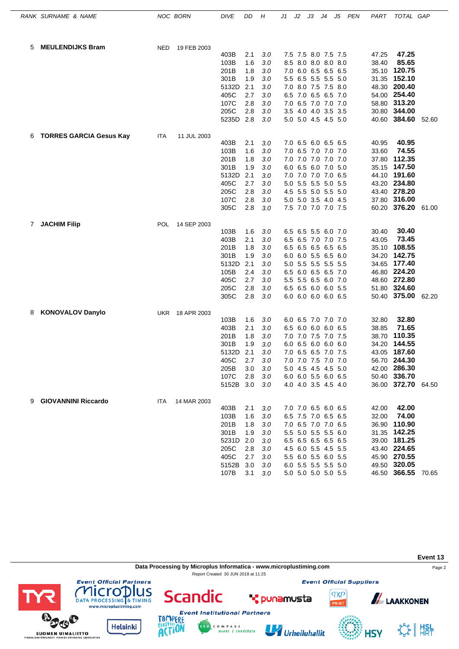|   | RANK SURNAME & NAME            |            | NOC BORN        | <b>DIVE</b>  | DD         | Η          | J1  | J2 | JЗ                                         | J4 | J5  | PEN | PART           | TOTAL GAP                    |       |
|---|--------------------------------|------------|-----------------|--------------|------------|------------|-----|----|--------------------------------------------|----|-----|-----|----------------|------------------------------|-------|
| 5 | <b>MEULENDIJKS Bram</b>        | <b>NED</b> | 19 FEB 2003     |              |            |            |     |    |                                            |    |     |     |                |                              |       |
|   |                                |            |                 | 403B         | 2.1        | 3.0        |     |    | 7.5 7.5 8.0 7.5 7.5                        |    |     |     | 47.25          | 47.25                        |       |
|   |                                |            |                 | 103B         | 1.6        | 3.0        |     |    | 8.5 8.0 8.0 8.0 8.0                        |    |     |     | 38.40          | 85.65                        |       |
|   |                                |            |                 | 201B         | 1.8        | 3.0        |     |    | 7.0 6.0 6.5 6.5 6.5                        |    |     |     | 35.10          | 120.75                       |       |
|   |                                |            |                 | 301B         | 1.9        | 3.0        |     |    | 5.5 6.5 5.5 5.5 5.0                        |    |     |     |                | 31.35 152.10                 |       |
|   |                                |            |                 | 5132D        | 2.1        | 3.0        |     |    | 7.0 8.0 7.5 7.5 8.0                        |    |     |     | 48.30          | 200.40                       |       |
|   |                                |            |                 | 405C         | 2.7        | 3.0        | 6.5 |    | 7.0 6.5 6.5                                |    | 7.0 |     | 54.00          | 254.40                       |       |
|   |                                |            |                 | 107C         | 2.8        | 3.0        |     |    | 7.0 6.5 7.0 7.0 7.0                        |    |     |     | 58.80          | 313.20                       |       |
|   |                                |            |                 | 205C         | 2.8        | 3.0        |     |    | 3.5 4.0 4.0 3.5 3.5                        |    |     |     | 30.80          | 344.00                       |       |
|   |                                |            |                 | 5235D        | 2.8        | 3.0        |     |    | 5.0 5.0 4.5 4.5 5.0                        |    |     |     |                | 40.60 384.60 52.60           |       |
| 6 | <b>TORRES GARCIA Gesus Kay</b> | ITA        | 11 JUL 2003     |              |            |            |     |    |                                            |    |     |     |                |                              |       |
|   |                                |            |                 | 403B         | 2.1        | 3.0        |     |    | 7.0 6.5 6.0 6.5 6.5                        |    |     |     | 40.95          | 40.95                        |       |
|   |                                |            |                 | 103B         | 1.6<br>1.8 | 3.0        |     |    | 7.0 6.5 7.0 7.0 7.0<br>7.0 7.0 7.0 7.0 7.0 |    |     |     | 33.60          | 74.55<br>112.35              |       |
|   |                                |            |                 | 201B<br>301B | 1.9        | 3.0<br>3.0 |     |    | 6.0 6.5 6.0 7.0 5.0                        |    |     |     | 37.80<br>35.15 | 147.50                       |       |
|   |                                |            |                 | 5132D        | 2.1        | 3.0        |     |    | 7.0 7.0 7.0 7.0 6.5                        |    |     |     | 44.10          | 191.60                       |       |
|   |                                |            |                 | 405C         | 2.7        | 3.0        |     |    | 5.0 5.5 5.5 5.0 5.5                        |    |     |     |                | 43.20 234.80                 |       |
|   |                                |            |                 | 205C         | 2.8        | 3.0        |     |    | 4.5 5.5 5.0 5.5 5.0                        |    |     |     |                | 43.40 278.20                 |       |
|   |                                |            |                 | 107C         | 2.8        | 3.0        |     |    | 5.0 5.0 3.5 4.0 4.5                        |    |     |     | 37.80          | 316.00                       |       |
|   |                                |            |                 | 305C         | 2.8        | 3.0        |     |    | 7.5 7.0 7.0 7.0 7.5                        |    |     |     |                | 60.20 376.20 61.00           |       |
| 7 | <b>JACHIM Filip</b>            | <b>POL</b> | 14 SEP 2003     |              |            |            |     |    |                                            |    |     |     |                |                              |       |
|   |                                |            |                 | 103B         | 1.6        | 3.0        |     |    | 6.5 6.5 5.5 6.0 7.0                        |    |     |     | 30.40          | 30.40                        |       |
|   |                                |            |                 | 403B         | 2.1        | 3.0        |     |    | 6.5 6.5 7.0 7.0 7.5                        |    |     |     | 43.05          | 73.45                        |       |
|   |                                |            |                 | 201B         | 1.8        | 3.0        |     |    | 6.5 6.5 6.5 6.5                            |    | 6.5 |     | 35.10          | 108.55                       |       |
|   |                                |            |                 | 301B         | 1.9        | 3.0        |     |    | 6.0 6.0 5.5 6.5 6.0                        |    |     |     | 34.20          | 142.75                       |       |
|   |                                |            |                 | 5132D        | 2.1        | 3.0        |     |    | 5.0 5.5 5.5 5.5 5.5                        |    |     |     |                | 34.65 177.40                 |       |
|   |                                |            |                 | 105B         | 2.4        | 3.0        |     |    | 6.5 6.0 6.5 6.5 7.0                        |    |     |     | 46.80          | 224.20                       |       |
|   |                                |            |                 | 405C         | 2.7        | 3.0        |     |    | 5.5 5.5 6.5 6.0 7.0                        |    |     |     |                | 48.60 272.80                 |       |
|   |                                |            |                 | 205C<br>305C | 2.8<br>2.8 | 3.0<br>3.0 |     |    | 6.5 6.5 6.0 6.0 5.5<br>6.0 6.0 6.0 6.0 6.5 |    |     |     |                | 51.80 324.60<br>50.40 375.00 | 62.20 |
|   |                                |            |                 |              |            |            |     |    |                                            |    |     |     |                |                              |       |
| 8 | <b>KONOVALOV Danylo</b>        |            | UKR 18 APR 2003 |              |            |            |     |    |                                            |    |     |     |                | 32.80                        |       |
|   |                                |            |                 | 103B<br>403B | 1.6<br>2.1 | 3.0<br>3.0 |     |    | 6.0 6.5 7.0 7.0 7.0<br>6.5 6.0 6.0 6.0 6.5 |    |     |     | 32.80<br>38.85 | 71.65                        |       |
|   |                                |            |                 | 201B         | 1.8        | 3.0        |     |    | 7.0 7.0 7.5 7.0 7.5                        |    |     |     | 38.70          | 110.35                       |       |
|   |                                |            |                 | 301B         | 1.9        | 3.0        |     |    | 6.0 6.5 6.0 6.0                            |    | 6.0 |     | 34.20          | 144.55                       |       |
|   |                                |            |                 | 5132D        | 2.1        | 3.0        |     |    | 7.0 6.5 6.5 7.0 7.5                        |    |     |     |                | 43.05 187.60                 |       |
|   |                                |            |                 | 405C         | 2.7        | 3.0        |     |    | 7.0 7.0 7.5 7.0 7.0                        |    |     |     |                | 56.70 244.30                 |       |
|   |                                |            |                 | 205B         | 3.0        | $3.0\,$    |     |    | 5.0 4.5 4.5 4.5 5.0                        |    |     |     |                | 42.00 286.30                 |       |
|   |                                |            |                 | 107C         | 2.8        | 3.0        |     |    | 6.0 6.0 5.5 6.0 6.5                        |    |     |     |                | 50.40 336.70                 |       |
|   |                                |            |                 | 5152B 3.0    |            | 3.0        |     |    | 4.0 4.0 3.5 4.5 4.0                        |    |     |     |                | 36.00 372.70 64.50           |       |
| 9 | <b>GIOVANNINI Riccardo</b>     | <b>ITA</b> | 14 MAR 2003     |              |            |            |     |    |                                            |    |     |     |                |                              |       |
|   |                                |            |                 | 403B         | 2.1        | 3.0        |     |    | 7.0 7.0 6.5 6.0 6.5                        |    |     |     | 42.00          | 42.00                        |       |
|   |                                |            |                 | 103B         | 1.6        | 3.0        |     |    | 6.5 7.5 7.0 6.5 6.5                        |    |     |     | 32.00          | 74.00                        |       |
|   |                                |            |                 | 201B         | 1.8        | 3.0        |     |    | 7.0 6.5 7.0 7.0 6.5                        |    |     |     |                | 36.90 110.90                 |       |
|   |                                |            |                 | 301B         | 1.9        | 3.0        |     |    | 5.5 5.0 5.5 5.5 6.0                        |    |     |     |                | 31.35 142.25                 |       |
|   |                                |            |                 | 5231D        | 2.0        | 3.0        |     |    | 6.5 6.5 6.5 6.5 6.5                        |    |     |     |                | 39.00 181.25                 |       |
|   |                                |            |                 | 205C<br>405C | 2.8<br>2.7 | 3.0        |     |    | 4.5 6.0 5.5 4.5 5.5                        |    |     |     |                | 43.40 224.65<br>45.90 270.55 |       |
|   |                                |            |                 | 5152B        | 3.0        | 3.0<br>3.0 |     |    | 5.5 6.0 5.5 6.0 5.5<br>6.0 5.5 5.5 5.5 5.0 |    |     |     |                | 49.50 320.05                 |       |
|   |                                |            |                 | 107B         | 3.1        | 3.0        |     |    | 5.0 5.0 5.0 5.0 5.5                        |    |     |     |                | 46.50 366.55 70.65           |       |
|   |                                |            |                 |              |            |            |     |    |                                            |    |     |     |                |                              |       |

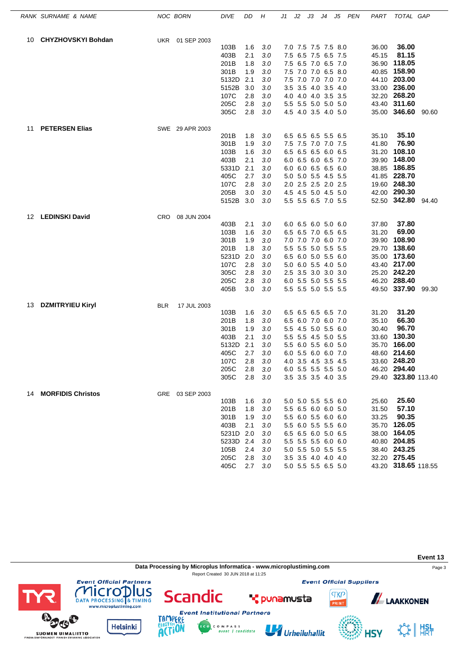|    | RANK SURNAME & NAME       | NOC BORN   |                 | <b>DIVE</b>       | DD         | Н       | J1 | J2 | JЗ                                         | J4 | J5 | <b>PEN</b> | PART  | TOTAL GAP           |       |
|----|---------------------------|------------|-----------------|-------------------|------------|---------|----|----|--------------------------------------------|----|----|------------|-------|---------------------|-------|
| 10 | <b>CHYZHOVSKYI Bohdan</b> |            | UKR 01 SEP 2003 |                   |            |         |    |    |                                            |    |    |            |       |                     |       |
|    |                           |            |                 | 103B              | 1.6        | 3.0     |    |    | 7.0 7.5 7.5 7.5 8.0                        |    |    |            | 36.00 | 36.00               |       |
|    |                           |            |                 | 403B              | 2.1        | 3.0     |    |    | 7.5 6.5 7.5 6.5 7.5                        |    |    |            | 45.15 | 81.15               |       |
|    |                           |            |                 | 201B              | 1.8        | 3.0     |    |    | 7.5 6.5 7.0 6.5 7.0                        |    |    |            |       | 36.90 118.05        |       |
|    |                           |            |                 | 301B              | 1.9        | 3.0     |    |    | 7.5 7.0 7.0 6.5 8.0                        |    |    |            |       | 40.85 158.90        |       |
|    |                           |            |                 | 5132D             | 2.1        | 3.0     |    |    | 7.5 7.0 7.0 7.0 7.0                        |    |    |            |       | 44.10 203.00        |       |
|    |                           |            |                 | 5152B             | 3.0        | 3.0     |    |    | 3.5 3.5 4.0 3.5 4.0                        |    |    |            |       | 33.00 236.00        |       |
|    |                           |            |                 | 107C              | 2.8        | 3.0     |    |    | 4.0 4.0 4.0 3.5 3.5                        |    |    |            |       | 32.20 268.20        |       |
|    |                           |            |                 | 205C              | 2.8        | $3.0\,$ |    |    | 5.5 5.5 5.0 5.0 5.0                        |    |    |            |       | 43.40 311.60        |       |
|    |                           |            |                 | 305C              | 2.8        | 3.0     |    |    | 4.5 4.0 3.5 4.0 5.0                        |    |    |            |       | 35.00 346.60 90.60  |       |
| 11 | <b>PETERSEN Elias</b>     |            | SWE 29 APR 2003 |                   |            |         |    |    |                                            |    |    |            |       |                     |       |
|    |                           |            |                 | 201B              | 1.8        | 3.0     |    |    | 6.5 6.5 6.5 5.5 6.5                        |    |    |            | 35.10 | 35.10               |       |
|    |                           |            |                 | 301B              | 1.9        | 3.0     |    |    | 7.5 7.5 7.0 7.0 7.5                        |    |    |            | 41.80 | 76.90               |       |
|    |                           |            |                 | 103B              | 1.6        | 3.0     |    |    | 6.5 6.5 6.5 6.0 6.5                        |    |    |            | 31.20 | 108.10              |       |
|    |                           |            |                 | 403B              | 2.1        | 3.0     |    |    | 6.0 6.5 6.0 6.5 7.0                        |    |    |            | 39.90 | 148.00              |       |
|    |                           |            |                 | 5331D             | 2.1        | 3.0     |    |    | 6.0 6.0 6.5 6.5 6.0                        |    |    |            | 38.85 | 186.85              |       |
|    |                           |            |                 | 405C              | 2.7        | 3.0     |    |    | 5.0 5.0 5.5 4.5 5.5                        |    |    |            |       | 41.85 228.70        |       |
|    |                           |            |                 | 107C              | 2.8        | 3.0     |    |    | 2.0 2.5 2.5 2.0 2.5                        |    |    |            |       | 19.60 248.30        |       |
|    |                           |            |                 | 205B              | 3.0        | 3.0     |    |    | 4.5 4.5 5.0 4.5 5.0                        |    |    |            |       | 42.00 290.30        |       |
|    |                           |            |                 | 5152B             | 3.0        | 3.0     |    |    | 5.5 5.5 6.5 7.0 5.5                        |    |    |            |       | 52.50 342.80 94.40  |       |
| 12 | <b>LEDINSKI David</b>     | <b>CRO</b> | 08 JUN 2004     |                   |            |         |    |    |                                            |    |    |            |       |                     |       |
|    |                           |            |                 | 403B              | 2.1        | 3.0     |    |    | 6.0 6.5 6.0 5.0 6.0                        |    |    |            | 37.80 | 37.80               |       |
|    |                           |            |                 | 103B              | 1.6        | 3.0     |    |    | 6.5 6.5 7.0 6.5 6.5                        |    |    |            | 31.20 | 69.00               |       |
|    |                           |            |                 | 301B              | 1.9        | 3.0     |    |    | 7.0 7.0 7.0 6.0 7.0                        |    |    |            |       | 39.90 108.90        |       |
|    |                           |            |                 | 201B              | 1.8        | 3.0     |    |    | 5.5 5.5 5.0 5.5 5.5                        |    |    |            |       | 29.70 138.60        |       |
|    |                           |            |                 | 5231D             | 2.0        | 3.0     |    |    | 6.5 6.0 5.0 5.5 6.0                        |    |    |            |       | 35.00 173.60        |       |
|    |                           |            |                 | 107C              | 2.8        | 3.0     |    |    | 5.0 6.0 5.5 4.0 5.0                        |    |    |            |       | 43.40 217.00        |       |
|    |                           |            |                 | 305C              | 2.8        | 3.0     |    |    | 2.5 3.5 3.0 3.0 3.0                        |    |    |            |       | 25.20 242.20        |       |
|    |                           |            |                 | 205C              | 2.8        | 3.0     |    |    | 6.0 5.5 5.0 5.5 5.5                        |    |    |            |       | 46.20 288.40        |       |
|    |                           |            |                 | 405B              | 3.0        | $3.0\,$ |    |    | 5.5 5.5 5.0 5.5 5.5                        |    |    |            |       | 49.50 337.90        | 99.30 |
| 13 | <b>DZMITRYIEU Kiryl</b>   | <b>BLR</b> | 17 JUL 2003     |                   |            |         |    |    |                                            |    |    |            |       |                     |       |
|    |                           |            |                 | 103B              | 1.6        | 3.0     |    |    | 6.5 6.5 6.5 6.5 7.0                        |    |    |            | 31.20 | 31.20               |       |
|    |                           |            |                 | 201B              | 1.8        | 3.0     |    |    | 6.5 6.0 7.0 6.0 7.0                        |    |    |            | 35.10 | 66.30               |       |
|    |                           |            |                 | 301B              | 1.9        | 3.0     |    |    | 5.5 4.5 5.0 5.5 6.0                        |    |    |            | 30.40 | 96.70               |       |
|    |                           |            |                 | 403B              | 2.1        | 3.0     |    |    | 5.5 5.5 4.5 5.0 5.5                        |    |    |            |       | 33.60 130.30        |       |
|    |                           |            |                 | 5132D             | 2.1        | 3.0     |    |    | 5.5 6.0 5.5 6.0 5.0                        |    |    |            | 35.70 | 166.00              |       |
|    |                           |            |                 | 405C              | 2.7        | 3.0     |    |    | 6.0 5.5 6.0 6.0 7.0                        |    |    |            |       | 48.60 214.60        |       |
|    |                           |            |                 | 107C              | 2.8        | 3.0     |    |    | 4.0 3.5 4.5 3.5 4.5                        |    |    |            |       | 33.60 248.20        |       |
|    |                           |            |                 | 205C              | 2.8        | 3.0     |    |    | 6.0 5.5 5.5 5.5 5.0                        |    |    |            |       | 46.20 294.40        |       |
|    |                           |            |                 | 305C              | 2.8        | 3.0     |    |    | 3.5 3.5 3.5 4.0 3.5                        |    |    |            |       | 29.40 323.80 113.40 |       |
|    | 14 MORFIDIS Christos      |            | GRE 03 SEP 2003 |                   |            |         |    |    |                                            |    |    |            |       | 25.60               |       |
|    |                           |            |                 | 103B              | 1.6        | 3.0     |    |    | 5.0 5.0 5.5 5.5 6.0                        |    |    |            | 25.60 | 57.10               |       |
|    |                           |            |                 | 201B              | 1.8        | 3.0     |    |    | 5.5 6.5 6.0 6.0 5.0                        |    |    |            | 31.50 | 90.35               |       |
|    |                           |            |                 | 301B              | 1.9<br>2.1 | 3.0     |    |    | 5.5 6.0 5.5 6.0 6.0                        |    |    |            | 33.25 | 35.70 126.05        |       |
|    |                           |            |                 | 403B<br>5231D 2.0 |            | 3.0     |    |    | 5.5 6.0 5.5 5.5 6.0<br>6.5 6.5 6.0 5.0 6.5 |    |    |            |       | 38.00 164.05        |       |
|    |                           |            |                 |                   |            | 3.0     |    |    |                                            |    |    |            |       | 40.80 204.85        |       |
|    |                           |            |                 | 5233D 2.4         | 2.4        | 3.0     |    |    | 5.5 5.5 5.5 6.0 6.0                        |    |    |            |       | 38.40 243.25        |       |
|    |                           |            |                 | 105B              |            | 3.0     |    |    | 5.0 5.5 5.0 5.5 5.5                        |    |    |            |       | 32.20 275.45        |       |
|    |                           |            |                 | 205C              | 2.8        | 3.0     |    |    | 3.5 3.5 4.0 4.0 4.0                        |    |    |            |       |                     |       |
|    |                           |            |                 | 405C              | 2.7        | 3.0     |    |    | 5.0 5.5 5.5 6.5 5.0                        |    |    |            |       | 43.20 318.65 118.55 |       |